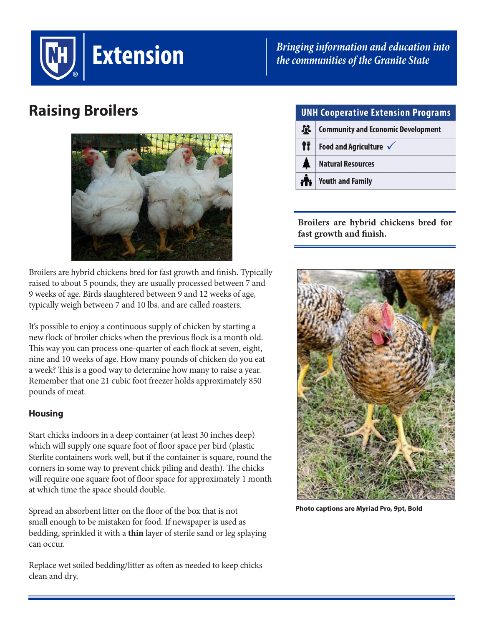

*Bringing information and education into the communities of the Granite State*

# **Raising Broilers**



Broilers are hybrid chickens bred for fast growth and finish. Typically raised to about 5 pounds, they are usually processed between 7 and 9 weeks of age. Birds slaughtered between 9 and 12 weeks of age, typically weigh between 7 and 10 lbs. and are called roasters.

It's possible to enjoy a continuous supply of chicken by starting a new flock of broiler chicks when the previous flock is a month old. This way you can process one-quarter of each flock at seven, eight, nine and 10 weeks of age. How many pounds of chicken do you eat a week? This is a good way to determine how many to raise a year. Remember that one 21 cubic foot freezer holds approximately 850 pounds of meat.

### **Housing**

Start chicks indoors in a deep container (at least 30 inches deep) which will supply one square foot of floor space per bird (plastic Sterlite containers work well, but if the container is square, round the corners in some way to prevent chick piling and death). The chicks will require one square foot of floor space for approximately 1 month at which time the space should double.

Spread an absorbent litter on the floor of the box that is not small enough to be mistaken for food. If newspaper is used as bedding, sprinkled it with a **thin** layer of sterile sand or leg splaying can occur.

Replace wet soiled bedding/litter as often as needed to keep chicks clean and dry.

|  | <b>UNH Cooperative Extension Programs</b> |                                           |
|--|-------------------------------------------|-------------------------------------------|
|  | $\mathbf{R}$                              | <b>Community and Economic Development</b> |
|  | IŤ                                        | Food and Agriculture $\sqrt{}$            |
|  |                                           | <b>Natural Resources</b>                  |
|  |                                           | <b>Youth and Family</b>                   |

**Broilers are hybrid chickens bred for fast growth and finish.**



**Photo captions are Myriad Pro, 9pt, Bold**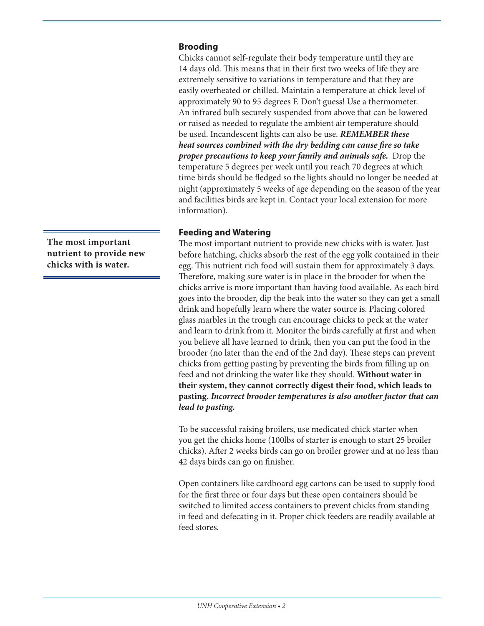### **Brooding**

Chicks cannot self-regulate their body temperature until they are 14 days old. This means that in their first two weeks of life they are extremely sensitive to variations in temperature and that they are easily overheated or chilled. Maintain a temperature at chick level of approximately 90 to 95 degrees F. Don't guess! Use a thermometer. An infrared bulb securely suspended from above that can be lowered or raised as needed to regulate the ambient air temperature should be used. Incandescent lights can also be use. *REMEMBER these heat sources combined with the dry bedding can cause fire so take proper precautions to keep your family and animals safe.* Drop the temperature 5 degrees per week until you reach 70 degrees at which time birds should be fledged so the lights should no longer be needed at night (approximately 5 weeks of age depending on the season of the year and facilities birds are kept in. Contact your local extension for more information).

### **Feeding and Watering**

The most important nutrient to provide new chicks with is water. Just before hatching, chicks absorb the rest of the egg yolk contained in their egg. This nutrient rich food will sustain them for approximately 3 days. Therefore, making sure water is in place in the brooder for when the chicks arrive is more important than having food available. As each bird goes into the brooder, dip the beak into the water so they can get a small drink and hopefully learn where the water source is. Placing colored glass marbles in the trough can encourage chicks to peck at the water and learn to drink from it. Monitor the birds carefully at first and when you believe all have learned to drink, then you can put the food in the brooder (no later than the end of the 2nd day). These steps can prevent chicks from getting pasting by preventing the birds from filling up on feed and not drinking the water like they should. **Without water in their system, they cannot correctly digest their food, which leads to pasting.** *Incorrect brooder temperatures is also another factor that can lead to pasting.*

To be successful raising broilers, use medicated chick starter when you get the chicks home (100lbs of starter is enough to start 25 broiler chicks). After 2 weeks birds can go on broiler grower and at no less than 42 days birds can go on finisher.

Open containers like cardboard egg cartons can be used to supply food for the first three or four days but these open containers should be switched to limited access containers to prevent chicks from standing in feed and defecating in it. Proper chick feeders are readily available at feed stores.

**The most important nutrient to provide new chicks with is water.**